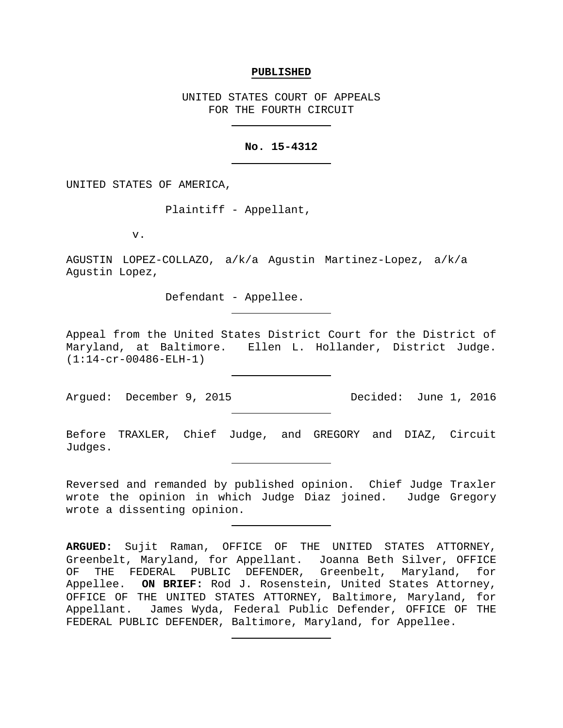#### **PUBLISHED**

UNITED STATES COURT OF APPEALS FOR THE FOURTH CIRCUIT

# **No. 15-4312**

UNITED STATES OF AMERICA,

Plaintiff - Appellant,

v.

AGUSTIN LOPEZ-COLLAZO, a/k/a Agustin Martinez-Lopez, a/k/a Agustin Lopez,

Defendant - Appellee.

Appeal from the United States District Court for the District of Maryland, at Baltimore. Ellen L. Hollander, District Judge. (1:14-cr-00486-ELH-1)

Argued: December 9, 2015 Decided: June 1, 2016

Before TRAXLER, Chief Judge, and GREGORY and DIAZ, Circuit Judges.

Reversed and remanded by published opinion. Chief Judge Traxler wrote the opinion in which Judge Diaz joined. Judge Gregory wrote a dissenting opinion.

**ARGUED:** Sujit Raman, OFFICE OF THE UNITED STATES ATTORNEY, Greenbelt, Maryland, for Appellant. Joanna Beth Silver, OFFICE<br>OF THE FEDERAL PUBLIC DEFENDER, Greenbelt, Maryland, for THE FEDERAL PUBLIC DEFENDER, Greenbelt, Maryland, for Appellee. **ON BRIEF:** Rod J. Rosenstein, United States Attorney, OFFICE OF THE UNITED STATES ATTORNEY, Baltimore, Maryland, for Appellant. James Wyda, Federal Public Defender, OFFICE OF THE FEDERAL PUBLIC DEFENDER, Baltimore, Maryland, for Appellee.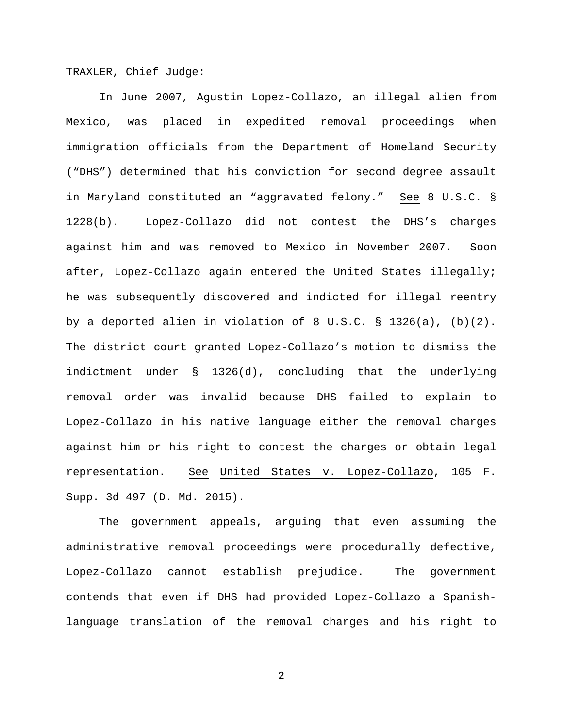TRAXLER, Chief Judge:

In June 2007, Agustin Lopez-Collazo, an illegal alien from Mexico, was placed in expedited removal proceedings when immigration officials from the Department of Homeland Security ("DHS") determined that his conviction for second degree assault in Maryland constituted an "aggravated felony." See 8 U.S.C. § 1228(b). Lopez-Collazo did not contest the DHS's charges against him and was removed to Mexico in November 2007. Soon after, Lopez-Collazo again entered the United States illegally; he was subsequently discovered and indicted for illegal reentry by a deported alien in violation of 8 U.S.C. § 1326(a), (b)(2). The district court granted Lopez-Collazo's motion to dismiss the indictment under § 1326(d), concluding that the underlying removal order was invalid because DHS failed to explain to Lopez-Collazo in his native language either the removal charges against him or his right to contest the charges or obtain legal representation. See United States v. Lopez-Collazo, 105 F. Supp. 3d 497 (D. Md. 2015).

The government appeals, arguing that even assuming the administrative removal proceedings were procedurally defective, Lopez-Collazo cannot establish prejudice. The government contends that even if DHS had provided Lopez-Collazo a Spanishlanguage translation of the removal charges and his right to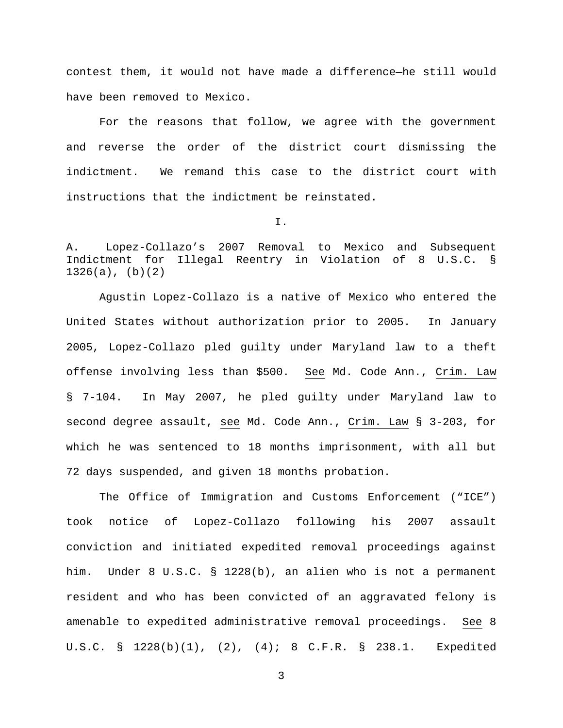contest them, it would not have made a difference—he still would have been removed to Mexico.

For the reasons that follow, we agree with the government and reverse the order of the district court dismissing the indictment. We remand this case to the district court with instructions that the indictment be reinstated.

I.

A. Lopez-Collazo's 2007 Removal to Mexico and Subsequent Indictment for Illegal Reentry in Violation of 8 U.S.C. § 1326(a), (b)(2)

Agustin Lopez-Collazo is a native of Mexico who entered the United States without authorization prior to 2005. In January 2005, Lopez-Collazo pled guilty under Maryland law to a theft offense involving less than \$500. See Md. Code Ann., Crim. Law § 7-104. In May 2007, he pled guilty under Maryland law to second degree assault, see Md. Code Ann., Crim. Law § 3-203, for which he was sentenced to 18 months imprisonment, with all but 72 days suspended, and given 18 months probation.

The Office of Immigration and Customs Enforcement ("ICE") took notice of Lopez-Collazo following his 2007 assault conviction and initiated expedited removal proceedings against him. Under 8 U.S.C. § 1228(b), an alien who is not a permanent resident and who has been convicted of an aggravated felony is amenable to expedited administrative removal proceedings. See 8 U.S.C. § 1228(b)(1), (2), (4); 8 C.F.R. § 238.1. Expedited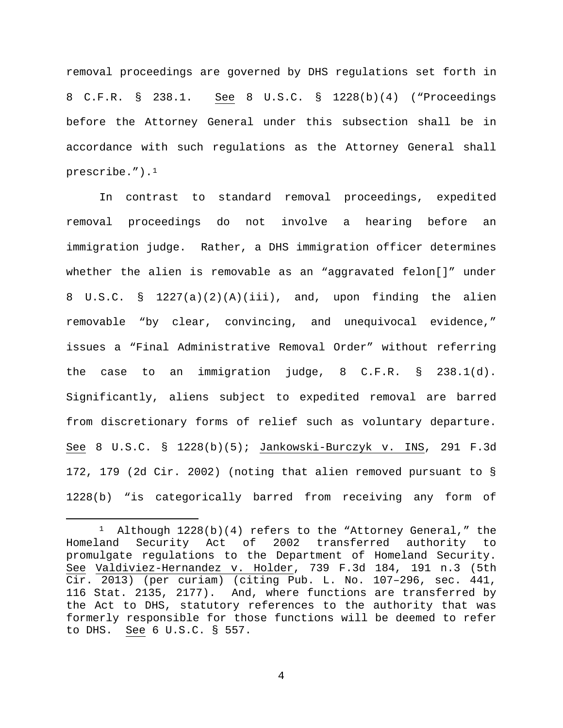removal proceedings are governed by DHS regulations set forth in 8 C.F.R. § 238.1. See 8 U.S.C. § 1228(b)(4) ("Proceedings before the Attorney General under this subsection shall be in accordance with such regulations as the Attorney General shall prescribe." $)$ .<sup>1</sup>

In contrast to standard removal proceedings, expedited removal proceedings do not involve a hearing before an immigration judge. Rather, a DHS immigration officer determines whether the alien is removable as an "aggravated felon[]" under 8 U.S.C. § 1227(a)(2)(A)(iii), and, upon finding the alien removable "by clear, convincing, and unequivocal evidence," issues a "Final Administrative Removal Order" without referring the case to an immigration judge, 8 C.F.R. § 238.1(d). Significantly, aliens subject to expedited removal are barred from discretionary forms of relief such as voluntary departure. See 8 U.S.C. § 1228(b)(5); Jankowski-Burczyk v. INS, 291 F.3d 172, 179 (2d Cir. 2002) (noting that alien removed pursuant to § 1228(b) "is categorically barred from receiving any form of

<span id="page-3-0"></span><sup>&</sup>lt;sup>1</sup> Although  $1228(b)(4)$  refers to the "Attorney General," the Homeland Security Act of 2002 transferred authority to promulgate regulations to the Department of Homeland Security. See Valdiviez-Hernandez v. Holder, 739 F.3d 184, 191 n.3 (5th Cir. 2013) (per curiam) (citing Pub. L. No. 107–296, sec. 441, 116 Stat. 2135, 2177). And, where functions are transferred by the Act to DHS, statutory references to the authority that was formerly responsible for those functions will be deemed to refer to DHS. See 6 U.S.C. § 557.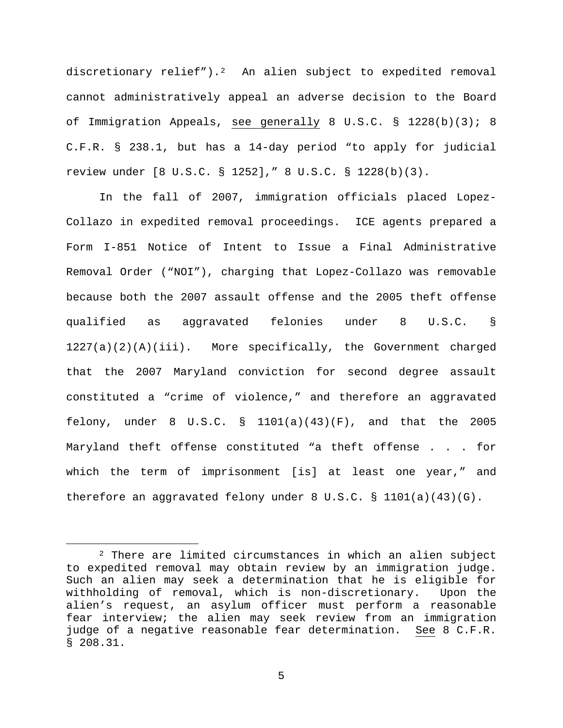discretionary relief").[2](#page-4-0) An alien subject to expedited removal cannot administratively appeal an adverse decision to the Board of Immigration Appeals, see generally 8 U.S.C. § 1228(b)(3); 8 C.F.R. § 238.1, but has a 14-day period "to apply for judicial review under [8 U.S.C. § 1252]," 8 U.S.C. § 1228(b)(3).

In the fall of 2007, immigration officials placed Lopez-Collazo in expedited removal proceedings. ICE agents prepared a Form I-851 Notice of Intent to Issue a Final Administrative Removal Order ("NOI"), charging that Lopez-Collazo was removable because both the 2007 assault offense and the 2005 theft offense qualified as aggravated felonies under 8 U.S.C. §  $1227(a)(2)(A)(iii)$ . More specifically, the Government charged that the 2007 Maryland conviction for second degree assault constituted a "crime of violence," and therefore an aggravated felony, under 8 U.S.C.  $\S$  1101(a)(43)(F), and that the 2005 Maryland theft offense constituted "a theft offense . . . for which the term of imprisonment [is] at least one year," and therefore an aggravated felony under 8 U.S.C. § 1101(a)(43)(G).

<span id="page-4-0"></span> <sup>2</sup> There are limited circumstances in which an alien subject to expedited removal may obtain review by an immigration judge. Such an alien may seek a determination that he is eligible for withholding of removal, which is non-discretionary. Upon the alien's request, an asylum officer must perform a reasonable fear interview; the alien may seek review from an immigration judge of a negative reasonable fear determination. See 8 C.F.R. § 208.31.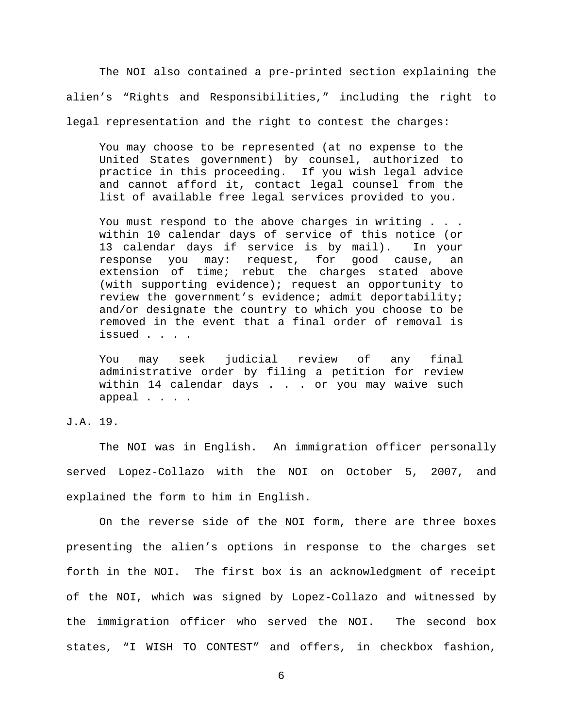The NOI also contained a pre-printed section explaining the alien's "Rights and Responsibilities," including the right to legal representation and the right to contest the charges:

You may choose to be represented (at no expense to the United States government) by counsel, authorized to practice in this proceeding. If you wish legal advice and cannot afford it, contact legal counsel from the list of available free legal services provided to you.

You must respond to the above charges in writing . . . within 10 calendar days of service of this notice (or 13 calendar days if service is by mail). In your response you may: request, for good cause, an extension of time; rebut the charges stated above (with supporting evidence); request an opportunity to review the government's evidence; admit deportability; and/or designate the country to which you choose to be removed in the event that a final order of removal is issued . . . .

You may seek judicial review of any final administrative order by filing a petition for review within 14 calendar days . . . or you may waive such appeal . . . .

# J.A. 19.

The NOI was in English. An immigration officer personally served Lopez-Collazo with the NOI on October 5, 2007, and explained the form to him in English.

On the reverse side of the NOI form, there are three boxes presenting the alien's options in response to the charges set forth in the NOI. The first box is an acknowledgment of receipt of the NOI, which was signed by Lopez-Collazo and witnessed by the immigration officer who served the NOI. The second box states, "I WISH TO CONTEST" and offers, in checkbox fashion,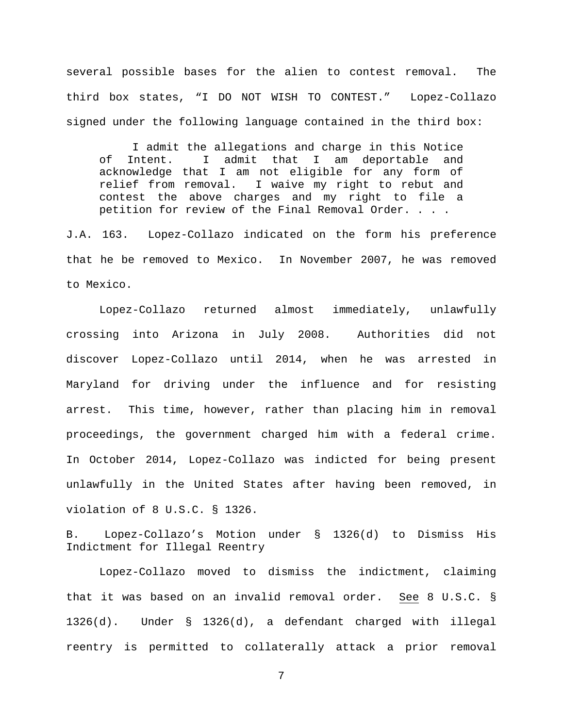several possible bases for the alien to contest removal. The third box states, "I DO NOT WISH TO CONTEST." Lopez-Collazo signed under the following language contained in the third box:

I admit the allegations and charge in this Notice of Intent. I admit that I am deportable and acknowledge that I am not eligible for any form of relief from removal. I waive my right to rebut and contest the above charges and my right to file a petition for review of the Final Removal Order. . . .

J.A. 163. Lopez-Collazo indicated on the form his preference that he be removed to Mexico. In November 2007, he was removed to Mexico.

Lopez-Collazo returned almost immediately, unlawfully crossing into Arizona in July 2008. Authorities did not discover Lopez-Collazo until 2014, when he was arrested in Maryland for driving under the influence and for resisting arrest. This time, however, rather than placing him in removal proceedings, the government charged him with a federal crime. In October 2014, Lopez-Collazo was indicted for being present unlawfully in the United States after having been removed, in violation of 8 U.S.C. § 1326.

B. Lopez-Collazo's Motion under § 1326(d) to Dismiss His Indictment for Illegal Reentry

Lopez-Collazo moved to dismiss the indictment, claiming that it was based on an invalid removal order. See 8 U.S.C. § 1326(d). Under § 1326(d), a defendant charged with illegal reentry is permitted to collaterally attack a prior removal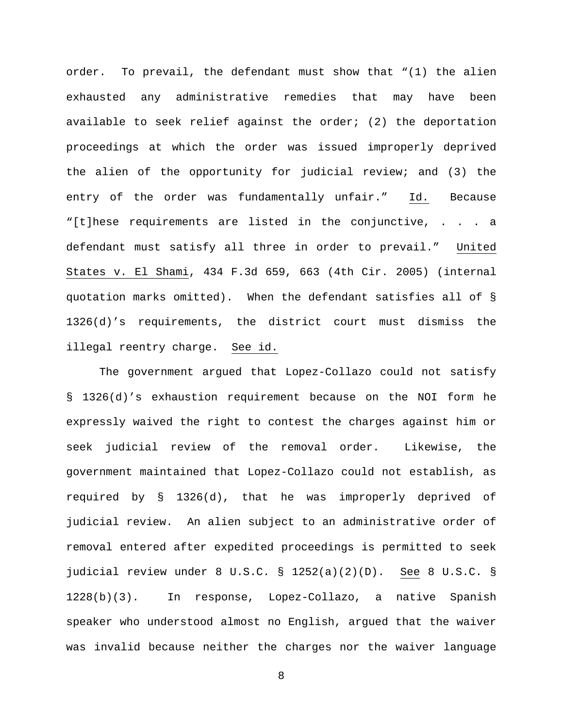order. To prevail, the defendant must show that "(1) the alien exhausted any administrative remedies that may have been available to seek relief against the order; (2) the deportation proceedings at which the order was issued improperly deprived the alien of the opportunity for judicial review; and (3) the entry of the order was fundamentally unfair." Id. Because "[t]hese requirements are listed in the conjunctive, . . . a defendant must satisfy all three in order to prevail." United States v. El Shami, 434 F.3d 659, 663 (4th Cir. 2005) (internal quotation marks omitted). When the defendant satisfies all of § 1326(d)'s requirements, the district court must dismiss the illegal reentry charge. See id.

The government argued that Lopez-Collazo could not satisfy § 1326(d)'s exhaustion requirement because on the NOI form he expressly waived the right to contest the charges against him or seek judicial review of the removal order. Likewise, the government maintained that Lopez-Collazo could not establish, as required by § 1326(d), that he was improperly deprived of judicial review. An alien subject to an administrative order of removal entered after expedited proceedings is permitted to seek judicial review under 8 U.S.C. § 1252(a)(2)(D). See 8 U.S.C. § 1228(b)(3). In response, Lopez-Collazo, a native Spanish speaker who understood almost no English, argued that the waiver was invalid because neither the charges nor the waiver language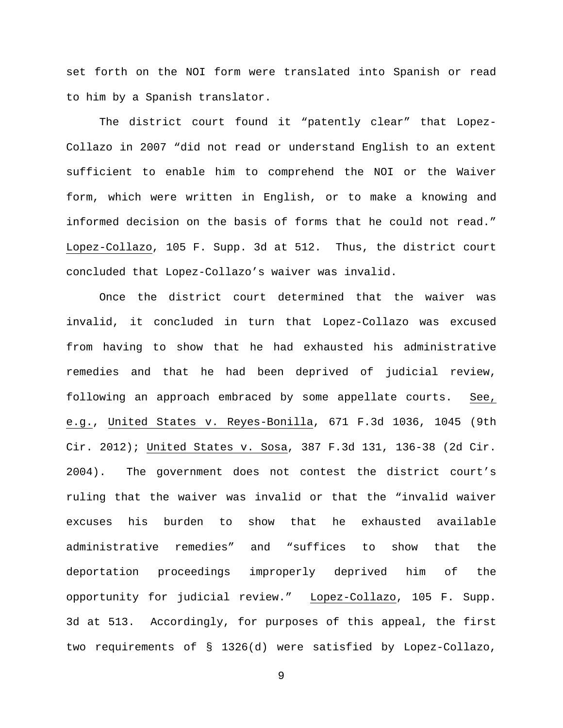set forth on the NOI form were translated into Spanish or read to him by a Spanish translator.

The district court found it "patently clear" that Lopez-Collazo in 2007 "did not read or understand English to an extent sufficient to enable him to comprehend the NOI or the Waiver form, which were written in English, or to make a knowing and informed decision on the basis of forms that he could not read." Lopez-Collazo, 105 F. Supp. 3d at 512. Thus, the district court concluded that Lopez-Collazo's waiver was invalid.

Once the district court determined that the waiver was invalid, it concluded in turn that Lopez-Collazo was excused from having to show that he had exhausted his administrative remedies and that he had been deprived of judicial review, following an approach embraced by some appellate courts. See, e.g., United States v. Reyes-Bonilla, 671 F.3d 1036, 1045 (9th Cir. 2012); United States v. Sosa, 387 F.3d 131, 136-38 (2d Cir. 2004). The government does not contest the district court's ruling that the waiver was invalid or that the "invalid waiver excuses his burden to show that he exhausted available administrative remedies" and "suffices to show that the deportation proceedings improperly deprived him of the opportunity for judicial review." Lopez-Collazo, 105 F. Supp. 3d at 513. Accordingly, for purposes of this appeal, the first two requirements of § 1326(d) were satisfied by Lopez-Collazo,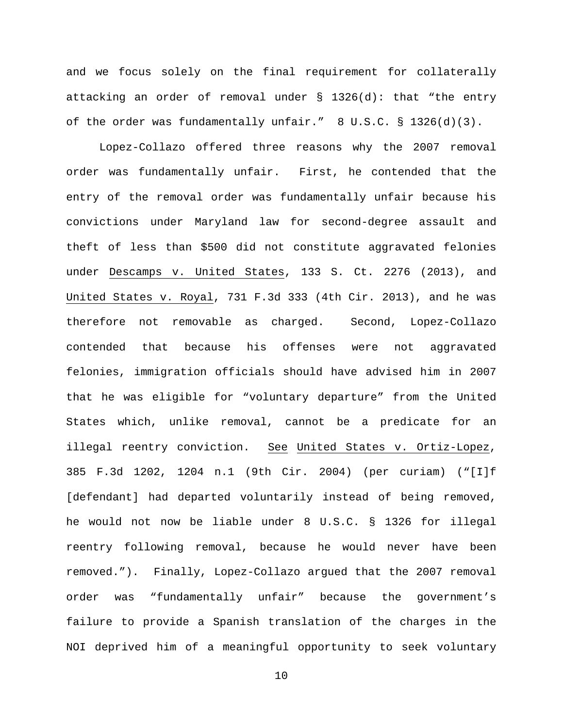and we focus solely on the final requirement for collaterally attacking an order of removal under § 1326(d): that "the entry of the order was fundamentally unfair." 8 U.S.C. § 1326(d)(3).

Lopez-Collazo offered three reasons why the 2007 removal order was fundamentally unfair. First, he contended that the entry of the removal order was fundamentally unfair because his convictions under Maryland law for second-degree assault and theft of less than \$500 did not constitute aggravated felonies under Descamps v. United States, 133 S. Ct. 2276 (2013), and United States v. Royal, 731 F.3d 333 (4th Cir. 2013), and he was therefore not removable as charged. Second, Lopez-Collazo contended that because his offenses were not aggravated felonies, immigration officials should have advised him in 2007 that he was eligible for "voluntary departure" from the United States which, unlike removal, cannot be a predicate for an illegal reentry conviction. See United States v. Ortiz-Lopez, 385 F.3d 1202, 1204 n.1 (9th Cir. 2004) (per curiam) ("[I]f [defendant] had departed voluntarily instead of being removed, he would not now be liable under 8 U.S.C. § 1326 for illegal reentry following removal, because he would never have been removed."). Finally, Lopez-Collazo argued that the 2007 removal order was "fundamentally unfair" because the government's failure to provide a Spanish translation of the charges in the NOI deprived him of a meaningful opportunity to seek voluntary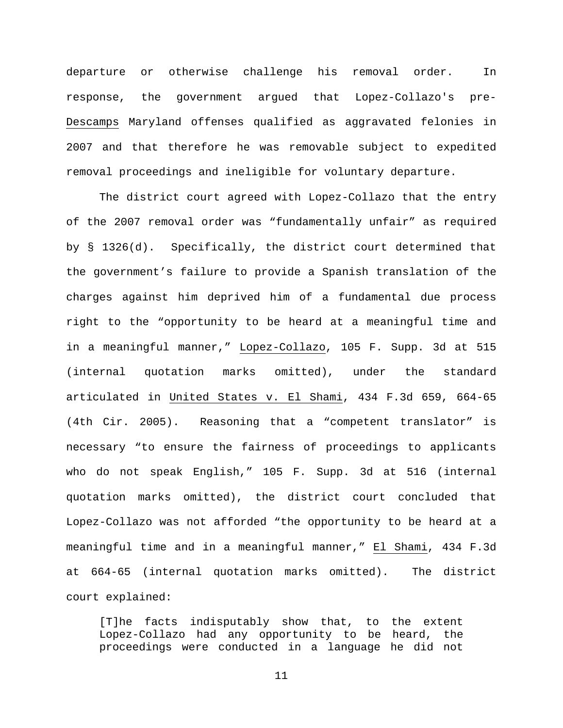departure or otherwise challenge his removal order. In response, the government argued that Lopez-Collazo's pre-Descamps Maryland offenses qualified as aggravated felonies in 2007 and that therefore he was removable subject to expedited removal proceedings and ineligible for voluntary departure.

The district court agreed with Lopez-Collazo that the entry of the 2007 removal order was "fundamentally unfair" as required by § 1326(d). Specifically, the district court determined that the government's failure to provide a Spanish translation of the charges against him deprived him of a fundamental due process right to the "opportunity to be heard at a meaningful time and in a meaningful manner," Lopez-Collazo, 105 F. Supp. 3d at 515 (internal quotation marks omitted), under the standard articulated in United States v. El Shami, 434 F.3d 659, 664-65 (4th Cir. 2005). Reasoning that a "competent translator" is necessary "to ensure the fairness of proceedings to applicants who do not speak English," 105 F. Supp. 3d at 516 (internal quotation marks omitted), the district court concluded that Lopez-Collazo was not afforded "the opportunity to be heard at a meaningful time and in a meaningful manner," El Shami, 434 F.3d at 664-65 (internal quotation marks omitted). The district court explained:

[T]he facts indisputably show that, to the extent Lopez-Collazo had any opportunity to be heard, the proceedings were conducted in a language he did not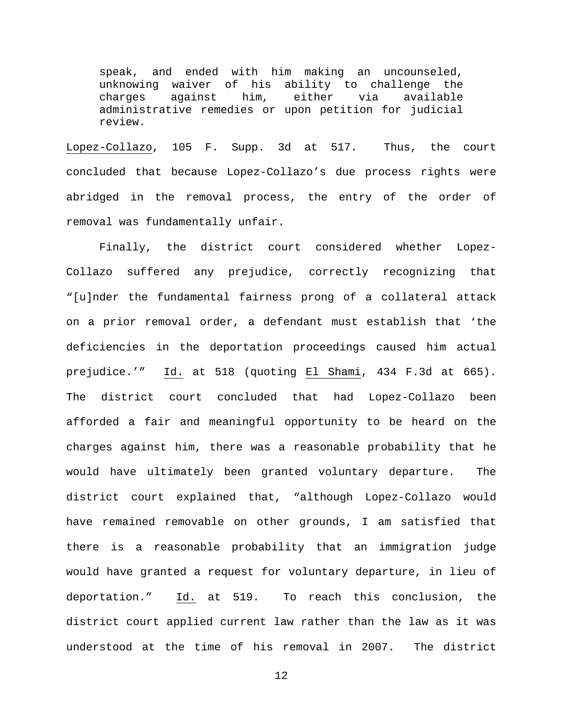speak, and ended with him making an uncounseled, unknowing waiver of his ability to challenge the<br>charges against him, either via available available administrative remedies or upon petition for judicial review.

Lopez-Collazo, 105 F. Supp. 3d at 517. Thus, the court concluded that because Lopez-Collazo's due process rights were abridged in the removal process, the entry of the order of removal was fundamentally unfair.

Finally, the district court considered whether Lopez-Collazo suffered any prejudice, correctly recognizing that "[u]nder the fundamental fairness prong of a collateral attack on a prior removal order, a defendant must establish that 'the deficiencies in the deportation proceedings caused him actual prejudice.'" Id. at 518 (quoting El Shami, 434 F.3d at 665). The district court concluded that had Lopez-Collazo been afforded a fair and meaningful opportunity to be heard on the charges against him, there was a reasonable probability that he would have ultimately been granted voluntary departure. The district court explained that, "although Lopez-Collazo would have remained removable on other grounds, I am satisfied that there is a reasonable probability that an immigration judge would have granted a request for voluntary departure, in lieu of deportation." Id. at 519. To reach this conclusion, the district court applied current law rather than the law as it was understood at the time of his removal in 2007. The district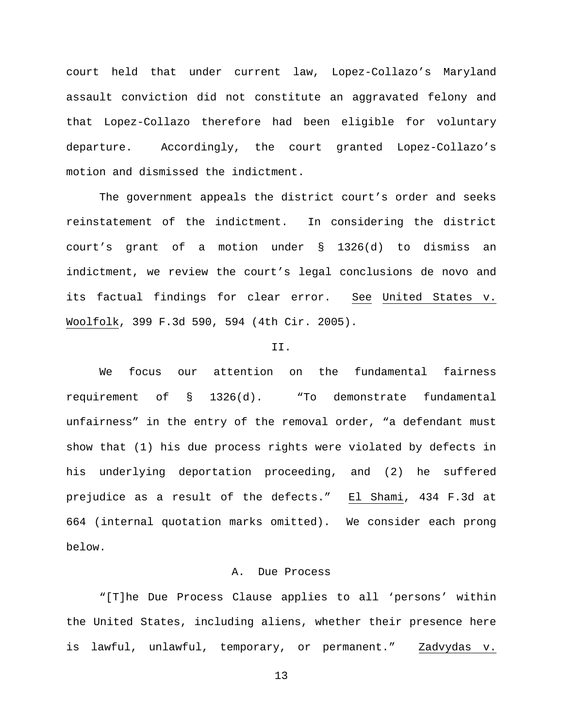court held that under current law, Lopez-Collazo's Maryland assault conviction did not constitute an aggravated felony and that Lopez-Collazo therefore had been eligible for voluntary departure. Accordingly, the court granted Lopez-Collazo's motion and dismissed the indictment.

The government appeals the district court's order and seeks reinstatement of the indictment. In considering the district court's grant of a motion under § 1326(d) to dismiss an indictment, we review the court's legal conclusions de novo and its factual findings for clear error. See United States v. Woolfolk, 399 F.3d 590, 594 (4th Cir. 2005).

#### II.

We focus our attention on the fundamental fairness requirement of § 1326(d). "To demonstrate fundamental unfairness" in the entry of the removal order, "a defendant must show that (1) his due process rights were violated by defects in his underlying deportation proceeding, and (2) he suffered prejudice as a result of the defects." El Shami, 434 F.3d at 664 (internal quotation marks omitted). We consider each prong below.

### A. Due Process

"[T]he Due Process Clause applies to all 'persons' within the United States, including aliens, whether their presence here is lawful, unlawful, temporary, or permanent." Zadvydas v.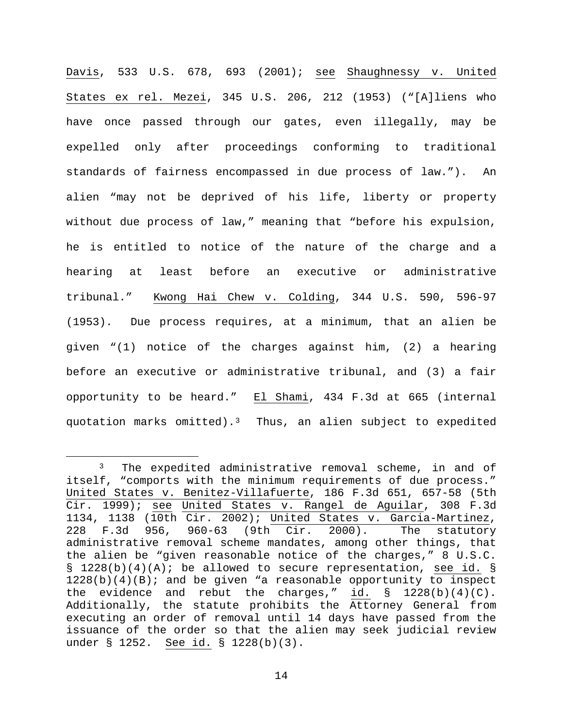Davis, 533 U.S. 678, 693 (2001); see Shaughnessy v. United States ex rel. Mezei, 345 U.S. 206, 212 (1953) ("[A]liens who have once passed through our gates, even illegally, may be expelled only after proceedings conforming to traditional standards of fairness encompassed in due process of law."). An alien "may not be deprived of his life, liberty or property without due process of law," meaning that "before his expulsion, he is entitled to notice of the nature of the charge and a hearing at least before an executive or administrative tribunal." Kwong Hai Chew v. Colding, 344 U.S. 590, 596-97 (1953). Due process requires, at a minimum, that an alien be given "(1) notice of the charges against him, (2) a hearing before an executive or administrative tribunal, and (3) a fair opportunity to be heard." El Shami, 434 F.3d at 665 (internal quotation marks omitted).<sup>3</sup> Thus, an alien subject to expedited

<span id="page-13-0"></span><sup>&</sup>lt;sup>3</sup> The expedited administrative removal scheme, in and of itself, "comports with the minimum requirements of due process." United States v. Benitez-Villafuerte, 186 F.3d 651, 657-58 (5th Cir. 1999); see United States v. Rangel de Aguilar, 308 F.3d 1134, 1138 (10th Cir. 2002); United States v. Garcia-Martinez,<br>228 F.3d 956, 960-63 (9th Cir. 2000). The statutory F.3d 956, 960-63 (9th Cir. 2000). administrative removal scheme mandates, among other things, that the alien be "given reasonable notice of the charges," 8 U.S.C. § 1228(b)(4)(A); be allowed to secure representation, see id. §  $1228(b)(4)(B);$  and be given "a reasonable opportunity to inspect the evidence and rebut the charges," id.  $\S$  1228(b)(4)(C). Additionally, the statute prohibits the Attorney General from executing an order of removal until 14 days have passed from the issuance of the order so that the alien may seek judicial review under § 1252. See id. § 1228(b)(3).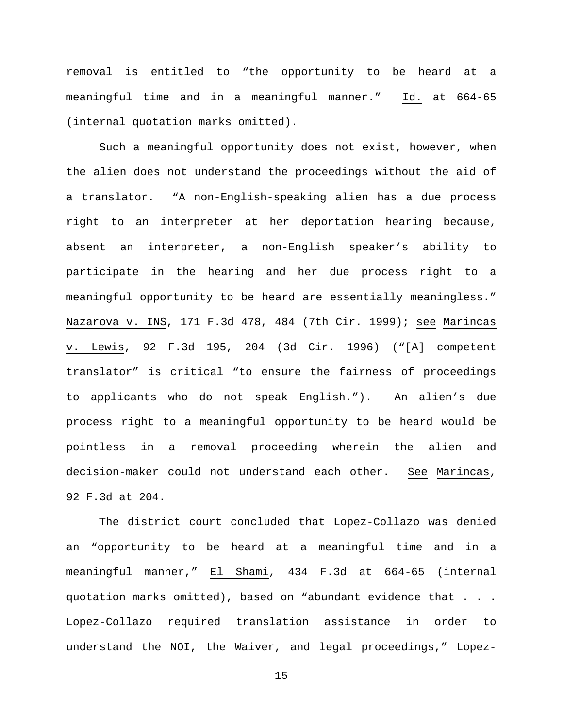removal is entitled to "the opportunity to be heard at a meaningful time and in a meaningful manner." Id. at 664-65 (internal quotation marks omitted).

Such a meaningful opportunity does not exist, however, when the alien does not understand the proceedings without the aid of a translator. "A non-English-speaking alien has a due process right to an interpreter at her deportation hearing because, absent an interpreter, a non-English speaker's ability to participate in the hearing and her due process right to a meaningful opportunity to be heard are essentially meaningless." Nazarova v. INS, 171 F.3d 478, 484 (7th Cir. 1999); see Marincas v. Lewis, 92 F.3d 195, 204 (3d Cir. 1996) ("[A] competent translator" is critical "to ensure the fairness of proceedings to applicants who do not speak English."). An alien's due process right to a meaningful opportunity to be heard would be pointless in a removal proceeding wherein the alien and decision-maker could not understand each other. See Marincas, 92 F.3d at 204.

The district court concluded that Lopez-Collazo was denied an "opportunity to be heard at a meaningful time and in a meaningful manner," El Shami, 434 F.3d at 664-65 (internal quotation marks omitted), based on "abundant evidence that . . . Lopez-Collazo required translation assistance in order to understand the NOI, the Waiver, and legal proceedings," Lopez-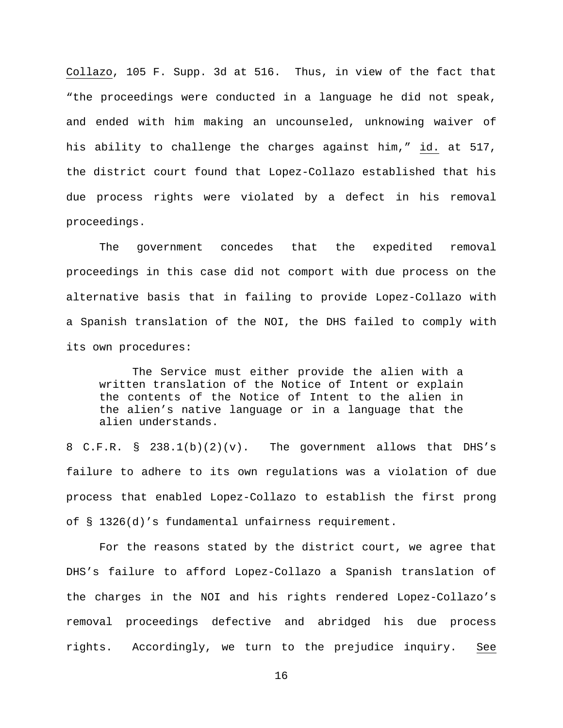Collazo, 105 F. Supp. 3d at 516. Thus, in view of the fact that "the proceedings were conducted in a language he did not speak, and ended with him making an uncounseled, unknowing waiver of his ability to challenge the charges against him," id. at 517, the district court found that Lopez-Collazo established that his due process rights were violated by a defect in his removal proceedings.

The government concedes that the expedited removal proceedings in this case did not comport with due process on the alternative basis that in failing to provide Lopez-Collazo with a Spanish translation of the NOI, the DHS failed to comply with its own procedures:

The Service must either provide the alien with a written translation of the Notice of Intent or explain the contents of the Notice of Intent to the alien in the alien's native language or in a language that the alien understands.

8 C.F.R. § 238.1(b)(2)(v). The government allows that DHS's failure to adhere to its own regulations was a violation of due process that enabled Lopez-Collazo to establish the first prong of § 1326(d)'s fundamental unfairness requirement.

For the reasons stated by the district court, we agree that DHS's failure to afford Lopez-Collazo a Spanish translation of the charges in the NOI and his rights rendered Lopez-Collazo's removal proceedings defective and abridged his due process rights. Accordingly, we turn to the prejudice inquiry. See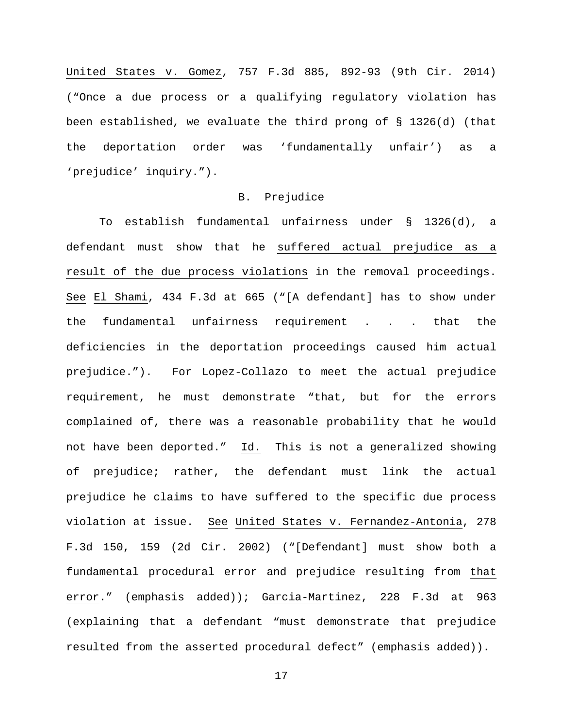United States v. Gomez, 757 F.3d 885, 892-93 (9th Cir. 2014) ("Once a due process or a qualifying regulatory violation has been established, we evaluate the third prong of § 1326(d) (that the deportation order was 'fundamentally unfair') as a 'prejudice' inquiry.").

### B. Prejudice

To establish fundamental unfairness under § 1326(d), a defendant must show that he suffered actual prejudice as a result of the due process violations in the removal proceedings. See El Shami, 434 F.3d at 665 ("[A defendant] has to show under the fundamental unfairness requirement . . . that the deficiencies in the deportation proceedings caused him actual prejudice."). For Lopez-Collazo to meet the actual prejudice requirement, he must demonstrate "that, but for the errors complained of, there was a reasonable probability that he would not have been deported." Id. This is not a generalized showing of prejudice; rather, the defendant must link the actual prejudice he claims to have suffered to the specific due process violation at issue. See United States v. Fernandez-Antonia, 278 F.3d 150, 159 (2d Cir. 2002) ("[Defendant] must show both a fundamental procedural error and prejudice resulting from that error." (emphasis added)); Garcia-Martinez, 228 F.3d at 963 (explaining that a defendant "must demonstrate that prejudice resulted from the asserted procedural defect" (emphasis added)).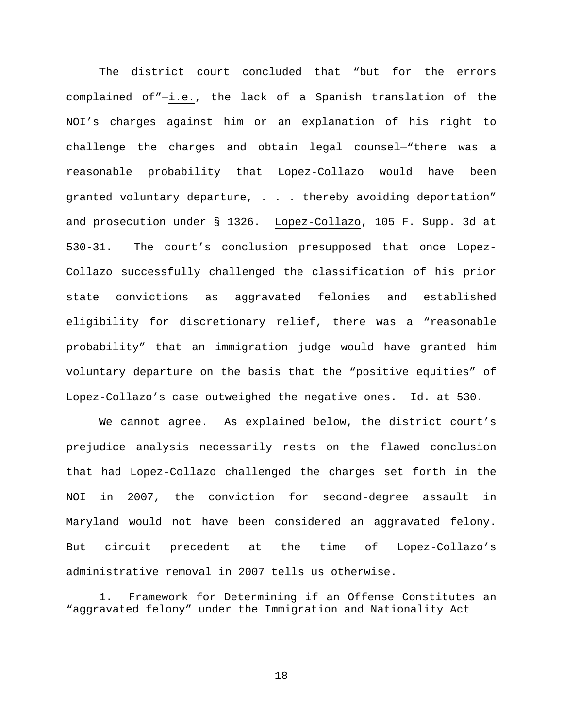The district court concluded that "but for the errors complained of"—i.e., the lack of a Spanish translation of the NOI's charges against him or an explanation of his right to challenge the charges and obtain legal counsel—"there was a reasonable probability that Lopez-Collazo would have been granted voluntary departure, . . . thereby avoiding deportation" and prosecution under § 1326. Lopez-Collazo, 105 F. Supp. 3d at 530-31. The court's conclusion presupposed that once Lopez-Collazo successfully challenged the classification of his prior state convictions as aggravated felonies and established eligibility for discretionary relief, there was a "reasonable probability" that an immigration judge would have granted him voluntary departure on the basis that the "positive equities" of Lopez-Collazo's case outweighed the negative ones. Id. at 530.

We cannot agree. As explained below, the district court's prejudice analysis necessarily rests on the flawed conclusion that had Lopez-Collazo challenged the charges set forth in the NOI in 2007, the conviction for second-degree assault in Maryland would not have been considered an aggravated felony. But circuit precedent at the time of Lopez-Collazo's administrative removal in 2007 tells us otherwise.

1. Framework for Determining if an Offense Constitutes an "aggravated felony" under the Immigration and Nationality Act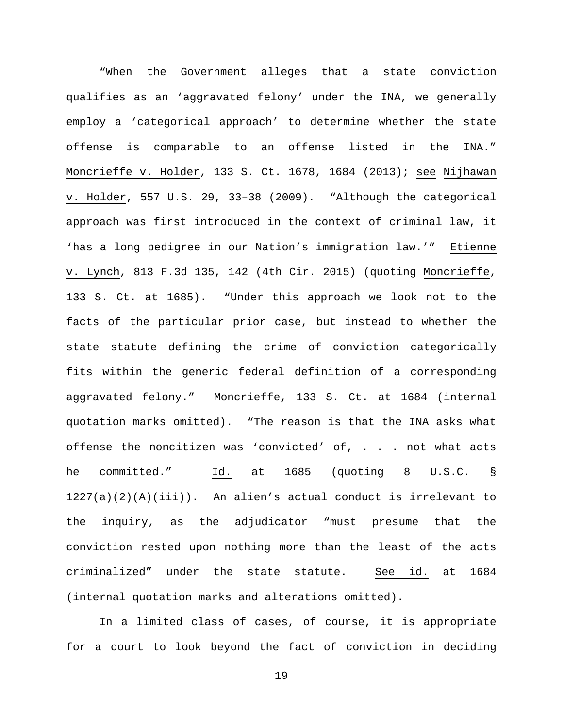"When the Government alleges that a state conviction qualifies as an 'aggravated felony' under the INA, we generally employ a 'categorical approach' to determine whether the state offense is comparable to an offense listed in the INA." Moncrieffe v. Holder, 133 S. Ct. 1678, 1684 (2013); see Nijhawan v. Holder, 557 U.S. 29, 33–38 (2009). "Although the categorical approach was first introduced in the context of criminal law, it 'has a long pedigree in our Nation's immigration law.'" Etienne v. Lynch, 813 F.3d 135, 142 (4th Cir. 2015) (quoting Moncrieffe, 133 S. Ct. at 1685). "Under this approach we look not to the facts of the particular prior case, but instead to whether the state statute defining the crime of conviction categorically fits within the generic federal definition of a corresponding aggravated felony." Moncrieffe, 133 S. Ct. at 1684 (internal quotation marks omitted). "The reason is that the INA asks what offense the noncitizen was 'convicted' of, . . . not what acts he committed." Id. at 1685 (quoting 8 U.S.C. §  $1227(a)(2)(A)(iii)$ . An alien's actual conduct is irrelevant to the inquiry, as the adjudicator "must presume that the conviction rested upon nothing more than the least of the acts criminalized" under the state statute. See id. at 1684 (internal quotation marks and alterations omitted).

In a limited class of cases, of course, it is appropriate for a court to look beyond the fact of conviction in deciding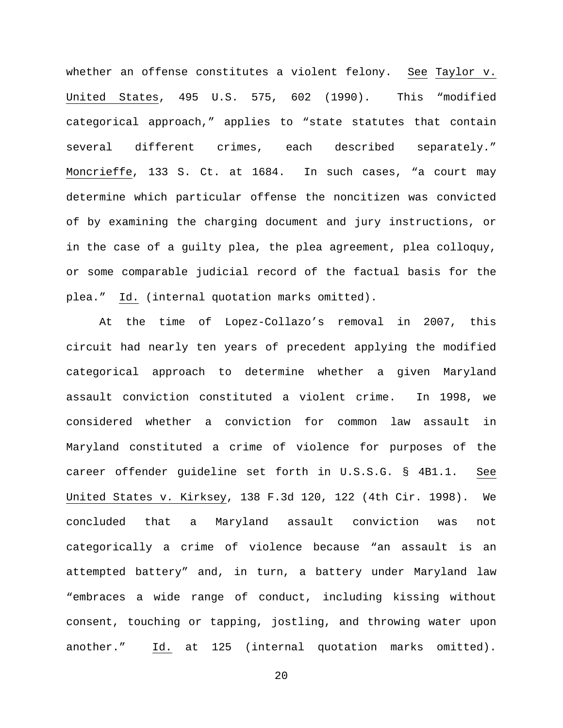whether an offense constitutes a violent felony. See Taylor v. United States, 495 U.S. 575, 602 (1990). This "modified categorical approach," applies to "state statutes that contain several different crimes, each described separately." Moncrieffe, 133 S. Ct. at 1684. In such cases, "a court may determine which particular offense the noncitizen was convicted of by examining the charging document and jury instructions, or in the case of a guilty plea, the plea agreement, plea colloquy, or some comparable judicial record of the factual basis for the plea." Id. (internal quotation marks omitted).

At the time of Lopez-Collazo's removal in 2007, this circuit had nearly ten years of precedent applying the modified categorical approach to determine whether a given Maryland assault conviction constituted a violent crime. In 1998, we considered whether a conviction for common law assault in Maryland constituted a crime of violence for purposes of the career offender guideline set forth in U.S.S.G. § 4B1.1. See United States v. Kirksey, 138 F.3d 120, 122 (4th Cir. 1998). We concluded that a Maryland assault conviction was not categorically a crime of violence because "an assault is an attempted battery" and, in turn, a battery under Maryland law "embraces a wide range of conduct, including kissing without consent, touching or tapping, jostling, and throwing water upon another." Id. at 125 (internal quotation marks omitted).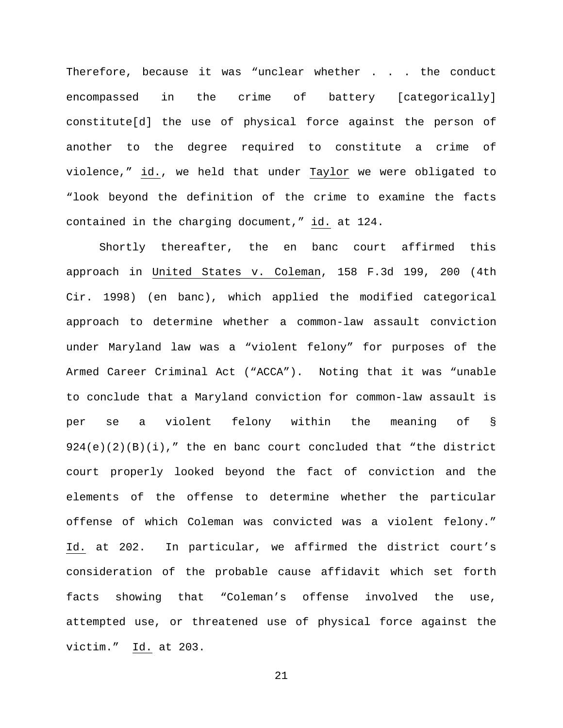Therefore, because it was "unclear whether . . . the conduct encompassed in the crime of battery [categorically] constitute[d] the use of physical force against the person of another to the degree required to constitute a crime of violence," id., we held that under Taylor we were obligated to "look beyond the definition of the crime to examine the facts contained in the charging document," id. at 124.

Shortly thereafter, the en banc court affirmed this approach in United States v. Coleman, 158 F.3d 199, 200 (4th Cir. 1998) (en banc), which applied the modified categorical approach to determine whether a common-law assault conviction under Maryland law was a "violent felony" for purposes of the Armed Career Criminal Act ("ACCA"). Noting that it was "unable to conclude that a Maryland conviction for common-law assault is per se a violent felony within the meaning of §  $924(e)(2)(B)(i),''$  the en banc court concluded that "the district court properly looked beyond the fact of conviction and the elements of the offense to determine whether the particular offense of which Coleman was convicted was a violent felony." Id. at 202. In particular, we affirmed the district court's consideration of the probable cause affidavit which set forth facts showing that "Coleman's offense involved the use, attempted use, or threatened use of physical force against the victim." Id. at 203.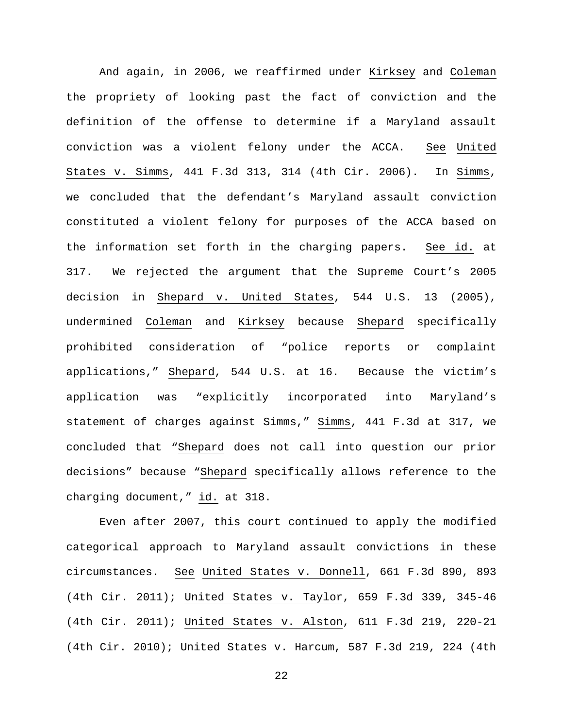And again, in 2006, we reaffirmed under Kirksey and Coleman the propriety of looking past the fact of conviction and the definition of the offense to determine if a Maryland assault conviction was a violent felony under the ACCA. See United States v. Simms, 441 F.3d 313, 314 (4th Cir. 2006). In Simms, we concluded that the defendant's Maryland assault conviction constituted a violent felony for purposes of the ACCA based on the information set forth in the charging papers. See id. at 317. We rejected the argument that the Supreme Court's 2005 decision in Shepard v. United States, 544 U.S. 13 (2005), undermined Coleman and Kirksey because Shepard specifically prohibited consideration of "police reports or complaint applications," Shepard, 544 U.S. at 16. Because the victim's application was "explicitly incorporated into Maryland's statement of charges against Simms," Simms, 441 F.3d at 317, we concluded that "Shepard does not call into question our prior decisions" because "Shepard specifically allows reference to the charging document," id. at 318.

Even after 2007, this court continued to apply the modified categorical approach to Maryland assault convictions in these circumstances. See United States v. Donnell, 661 F.3d 890, 893 (4th Cir. 2011); United States v. Taylor, 659 F.3d 339, 345-46 (4th Cir. 2011); United States v. Alston, 611 F.3d 219, 220-21 (4th Cir. 2010); United States v. Harcum, 587 F.3d 219, 224 (4th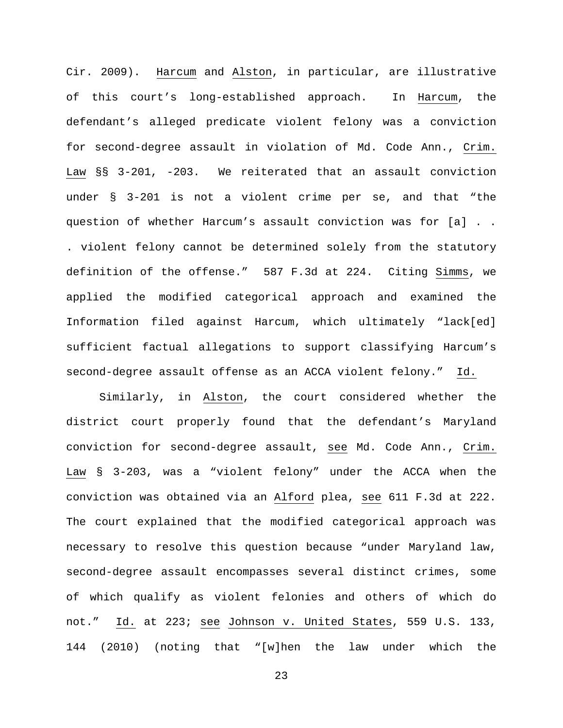Cir. 2009). Harcum and Alston, in particular, are illustrative of this court's long-established approach. In Harcum, the defendant's alleged predicate violent felony was a conviction for second-degree assault in violation of Md. Code Ann., Crim. Law §§ 3-201, -203. We reiterated that an assault conviction under § 3-201 is not a violent crime per se, and that "the question of whether Harcum's assault conviction was for [a] . . . violent felony cannot be determined solely from the statutory definition of the offense." 587 F.3d at 224. Citing Simms, we applied the modified categorical approach and examined the Information filed against Harcum, which ultimately "lack[ed] sufficient factual allegations to support classifying Harcum's second-degree assault offense as an ACCA violent felony." Id.

Similarly, in Alston, the court considered whether the district court properly found that the defendant's Maryland conviction for second-degree assault, see Md. Code Ann., Crim. Law § 3-203, was a "violent felony" under the ACCA when the conviction was obtained via an Alford plea, see 611 F.3d at 222. The court explained that the modified categorical approach was necessary to resolve this question because "under Maryland law, second-degree assault encompasses several distinct crimes, some of which qualify as violent felonies and others of which do not." Id. at 223; see Johnson v. United States, 559 U.S. 133, 144 (2010) (noting that "[w]hen the law under which the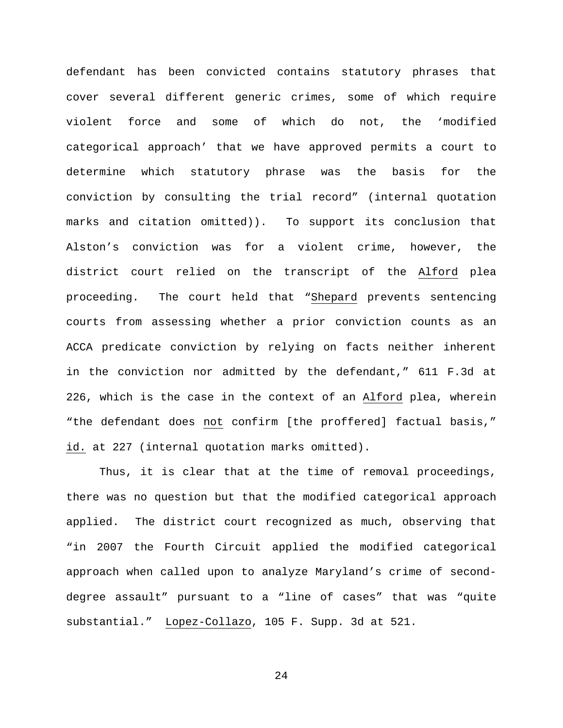defendant has been convicted contains statutory phrases that cover several different generic crimes, some of which require violent force and some of which do not, the 'modified categorical approach' that we have approved permits a court to determine which statutory phrase was the basis for the conviction by consulting the trial record" (internal quotation marks and citation omitted)). To support its conclusion that Alston's conviction was for a violent crime, however, the district court relied on the transcript of the Alford plea proceeding. The court held that "Shepard prevents sentencing courts from assessing whether a prior conviction counts as an ACCA predicate conviction by relying on facts neither inherent in the conviction nor admitted by the defendant," 611 F.3d at 226, which is the case in the context of an Alford plea, wherein "the defendant does not confirm [the proffered] factual basis," id. at 227 (internal quotation marks omitted).

Thus, it is clear that at the time of removal proceedings, there was no question but that the modified categorical approach applied. The district court recognized as much, observing that "in 2007 the Fourth Circuit applied the modified categorical approach when called upon to analyze Maryland's crime of seconddegree assault" pursuant to a "line of cases" that was "quite substantial." Lopez-Collazo, 105 F. Supp. 3d at 521.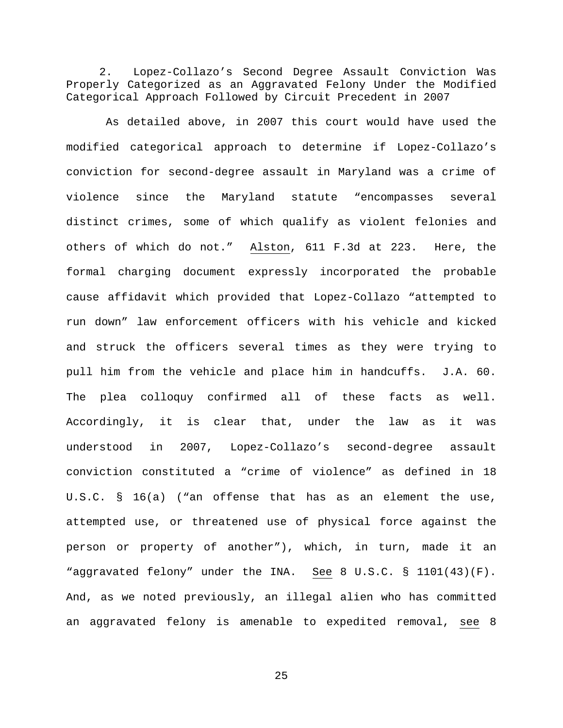2. Lopez-Collazo's Second Degree Assault Conviction Was Properly Categorized as an Aggravated Felony Under the Modified Categorical Approach Followed by Circuit Precedent in 2007

As detailed above, in 2007 this court would have used the modified categorical approach to determine if Lopez-Collazo's conviction for second-degree assault in Maryland was a crime of violence since the Maryland statute "encompasses several distinct crimes, some of which qualify as violent felonies and others of which do not." Alston, 611 F.3d at 223. Here, the formal charging document expressly incorporated the probable cause affidavit which provided that Lopez-Collazo "attempted to run down" law enforcement officers with his vehicle and kicked and struck the officers several times as they were trying to pull him from the vehicle and place him in handcuffs. J.A. 60. The plea colloquy confirmed all of these facts as well. Accordingly, it is clear that, under the law as it was understood in 2007, Lopez-Collazo's second-degree assault conviction constituted a "crime of violence" as defined in 18 U.S.C. § 16(a) ("an offense that has as an element the use, attempted use, or threatened use of physical force against the person or property of another"), which, in turn, made it an "aggravated felony" under the INA. See 8 U.S.C. § 1101(43)(F). And, as we noted previously, an illegal alien who has committed an aggravated felony is amenable to expedited removal, see 8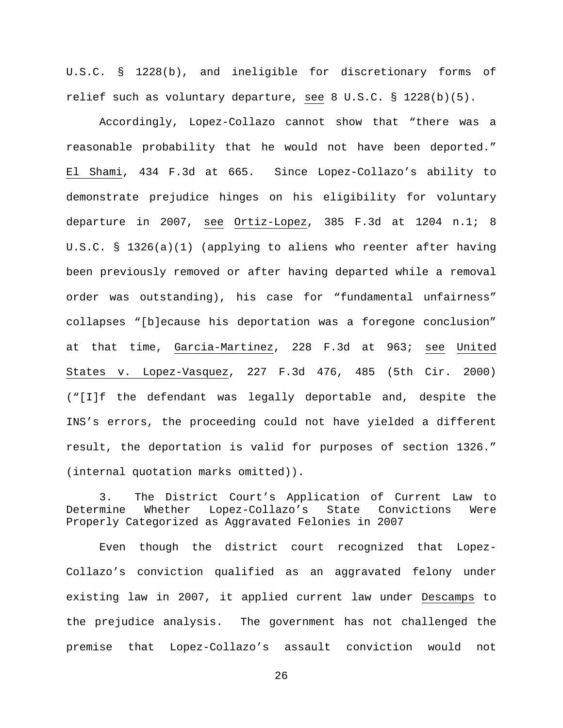U.S.C. § 1228(b), and ineligible for discretionary forms of relief such as voluntary departure, see 8 U.S.C. § 1228(b)(5).

Accordingly, Lopez-Collazo cannot show that "there was a reasonable probability that he would not have been deported." El Shami, 434 F.3d at 665. Since Lopez-Collazo's ability to demonstrate prejudice hinges on his eligibility for voluntary departure in 2007, see Ortiz-Lopez, 385 F.3d at 1204 n.1; 8 U.S.C. § 1326(a)(1) (applying to aliens who reenter after having been previously removed or after having departed while a removal order was outstanding), his case for "fundamental unfairness" collapses "[b]ecause his deportation was a foregone conclusion" at that time, Garcia-Martinez, 228 F.3d at 963; see United States v. Lopez-Vasquez, 227 F.3d 476, 485 (5th Cir. 2000) ("[I]f the defendant was legally deportable and, despite the INS's errors, the proceeding could not have yielded a different result, the deportation is valid for purposes of section 1326." (internal quotation marks omitted)).

3. The District Court's Application of Current Law to<br>Determine Whether Lopez-Collazo's State Convictions Were State Convictions Properly Categorized as Aggravated Felonies in 2007

Even though the district court recognized that Lopez-Collazo's conviction qualified as an aggravated felony under existing law in 2007, it applied current law under Descamps to the prejudice analysis. The government has not challenged the premise that Lopez-Collazo's assault conviction would not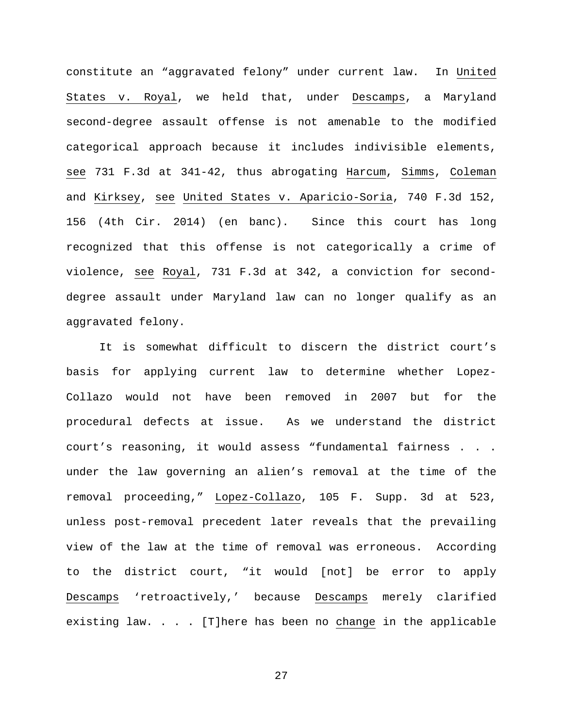constitute an "aggravated felony" under current law. In United States v. Royal, we held that, under Descamps, a Maryland second-degree assault offense is not amenable to the modified categorical approach because it includes indivisible elements, see 731 F.3d at 341-42, thus abrogating Harcum, Simms, Coleman and Kirksey, see United States v. Aparicio-Soria, 740 F.3d 152, 156 (4th Cir. 2014) (en banc). Since this court has long recognized that this offense is not categorically a crime of violence, see Royal, 731 F.3d at 342, a conviction for seconddegree assault under Maryland law can no longer qualify as an aggravated felony.

It is somewhat difficult to discern the district court's basis for applying current law to determine whether Lopez-Collazo would not have been removed in 2007 but for the procedural defects at issue. As we understand the district court's reasoning, it would assess "fundamental fairness . . . under the law governing an alien's removal at the time of the removal proceeding," Lopez-Collazo, 105 F. Supp. 3d at 523, unless post-removal precedent later reveals that the prevailing view of the law at the time of removal was erroneous. According to the district court, "it would [not] be error to apply Descamps 'retroactively,' because Descamps merely clarified existing law. . . . [T]here has been no change in the applicable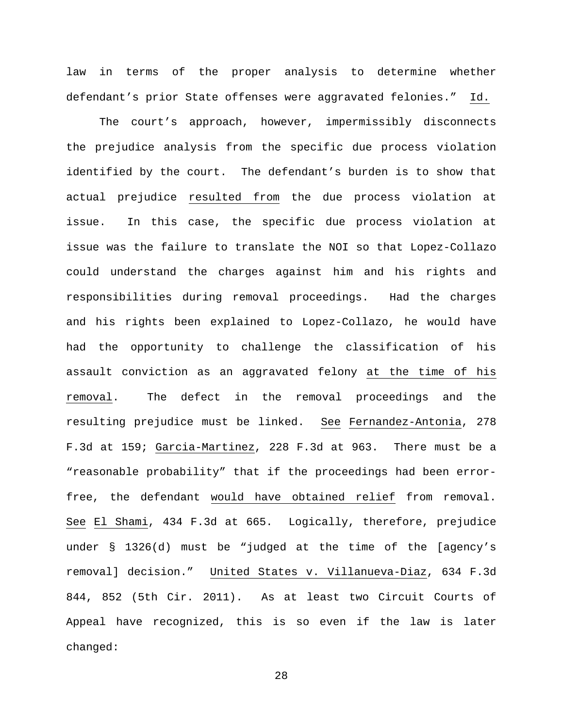law in terms of the proper analysis to determine whether defendant's prior State offenses were aggravated felonies." Id.

The court's approach, however, impermissibly disconnects the prejudice analysis from the specific due process violation identified by the court. The defendant's burden is to show that actual prejudice resulted from the due process violation at issue. In this case, the specific due process violation at issue was the failure to translate the NOI so that Lopez-Collazo could understand the charges against him and his rights and responsibilities during removal proceedings. Had the charges and his rights been explained to Lopez-Collazo, he would have had the opportunity to challenge the classification of his assault conviction as an aggravated felony at the time of his removal. The defect in the removal proceedings and the resulting prejudice must be linked. See Fernandez-Antonia, 278 F.3d at 159; Garcia-Martinez, 228 F.3d at 963. There must be a "reasonable probability" that if the proceedings had been errorfree, the defendant would have obtained relief from removal. See El Shami, 434 F.3d at 665. Logically, therefore, prejudice under § 1326(d) must be "judged at the time of the [agency's removal] decision." United States v. Villanueva-Diaz, 634 F.3d 844, 852 (5th Cir. 2011). As at least two Circuit Courts of Appeal have recognized, this is so even if the law is later changed: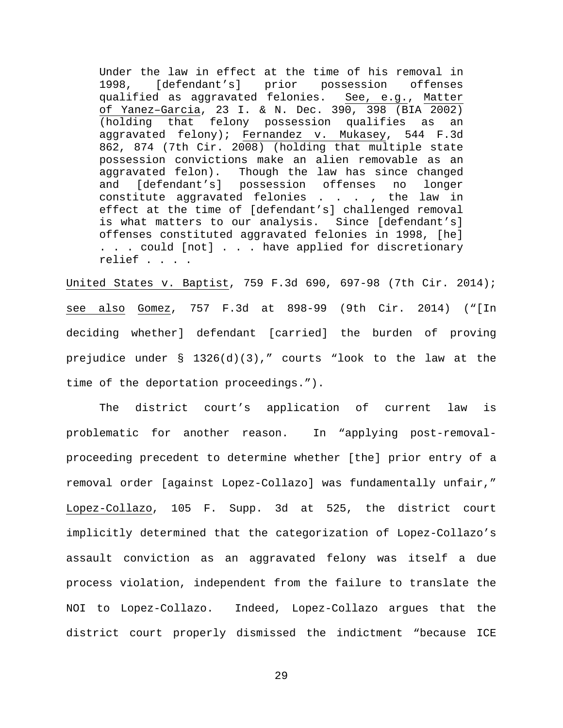Under the law in effect at the time of his removal in 1998, [defendant's] prior possession offenses qualified as aggravated felonies. See, e.g., Matter of Yanez–Garcia, 23 I. & N. Dec. 390, 398 (BIA 2002) (holding that felony possession qualifies as an aggravated felony); Fernandez v. Mukasey, 544 F.3d 862, 874 (7th Cir. 2008) (holding that multiple state possession convictions make an alien removable as an aggravated felon). Though the law has since changed<br>and [defendant's] possession offenses no longer and [defendant's] possession offenses no constitute aggravated felonies . . . , the law in effect at the time of [defendant's] challenged removal is what matters to our analysis. Since [defendant's] offenses constituted aggravated felonies in 1998, [he] . . . could [not] . . . have applied for discretionary relief . . . .

United States v. Baptist, 759 F.3d 690, 697-98 (7th Cir. 2014); see also Gomez, 757 F.3d at 898-99 (9th Cir. 2014) ("[In deciding whether] defendant [carried] the burden of proving prejudice under § 1326(d)(3)," courts "look to the law at the time of the deportation proceedings.").

The district court's application of current law is problematic for another reason. In "applying post-removalproceeding precedent to determine whether [the] prior entry of a removal order [against Lopez-Collazo] was fundamentally unfair," Lopez-Collazo, 105 F. Supp. 3d at 525, the district court implicitly determined that the categorization of Lopez-Collazo's assault conviction as an aggravated felony was itself a due process violation, independent from the failure to translate the NOI to Lopez-Collazo. Indeed, Lopez-Collazo argues that the district court properly dismissed the indictment "because ICE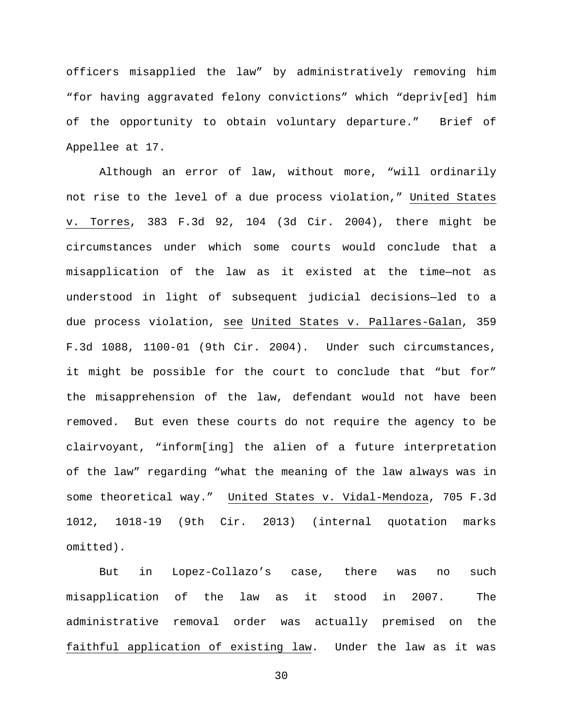officers misapplied the law" by administratively removing him "for having aggravated felony convictions" which "depriv[ed] him of the opportunity to obtain voluntary departure." Brief of Appellee at 17.

Although an error of law, without more, "will ordinarily not rise to the level of a due process violation," United States v. Torres, 383 F.3d 92, 104 (3d Cir. 2004), there might be circumstances under which some courts would conclude that a misapplication of the law as it existed at the time—not as understood in light of subsequent judicial decisions—led to a due process violation, see United States v. Pallares-Galan, 359 F.3d 1088, 1100-01 (9th Cir. 2004). Under such circumstances, it might be possible for the court to conclude that "but for" the misapprehension of the law, defendant would not have been removed. But even these courts do not require the agency to be clairvoyant, "inform[ing] the alien of a future interpretation of the law" regarding "what the meaning of the law always was in some theoretical way." United States v. Vidal-Mendoza, 705 F.3d 1012, 1018-19 (9th Cir. 2013) (internal quotation marks omitted).

But in Lopez-Collazo's case, there was no such misapplication of the law as it stood in 2007. The administrative removal order was actually premised on the faithful application of existing law. Under the law as it was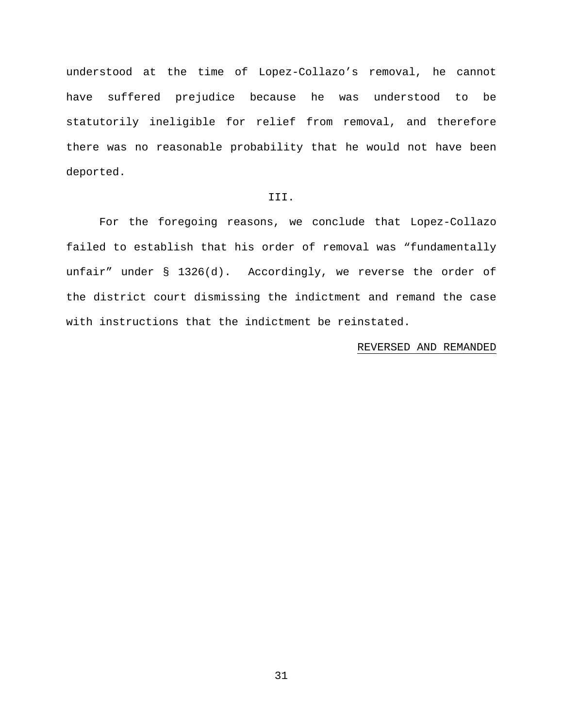understood at the time of Lopez-Collazo's removal, he cannot have suffered prejudice because he was understood to be statutorily ineligible for relief from removal, and therefore there was no reasonable probability that he would not have been deported.

## III.

For the foregoing reasons, we conclude that Lopez-Collazo failed to establish that his order of removal was "fundamentally unfair" under § 1326(d). Accordingly, we reverse the order of the district court dismissing the indictment and remand the case with instructions that the indictment be reinstated.

### REVERSED AND REMANDED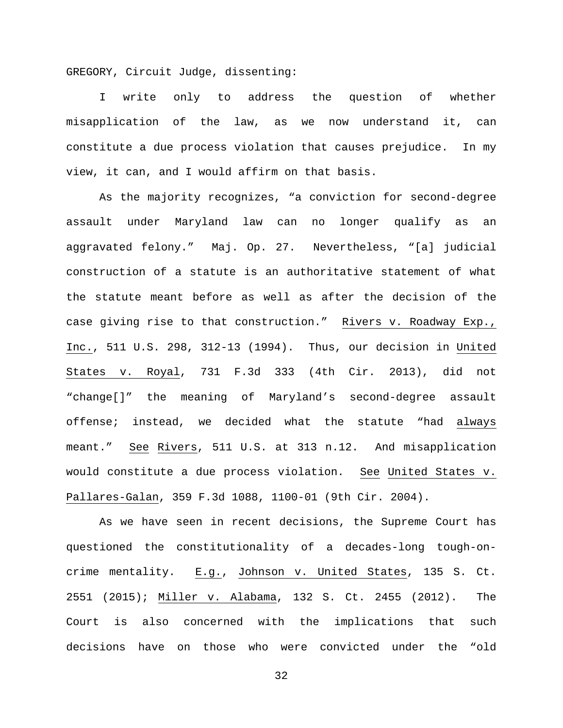GREGORY, Circuit Judge, dissenting:

I write only to address the question of whether misapplication of the law, as we now understand it, can constitute a due process violation that causes prejudice. In my view, it can, and I would affirm on that basis.

As the majority recognizes, "a conviction for second-degree assault under Maryland law can no longer qualify as an aggravated felony." Maj. Op. 27. Nevertheless, "[a] judicial construction of a statute is an authoritative statement of what the statute meant before as well as after the decision of the case giving rise to that construction." Rivers v. Roadway Exp., Inc., 511 U.S. 298, 312-13 (1994). Thus, our decision in United States v. Royal, 731 F.3d 333 (4th Cir. 2013), did not "change[]" the meaning of Maryland's second-degree assault offense; instead, we decided what the statute "had always meant." See Rivers, 511 U.S. at 313 n.12. And misapplication would constitute a due process violation. See United States v. Pallares-Galan, 359 F.3d 1088, 1100-01 (9th Cir. 2004).

As we have seen in recent decisions, the Supreme Court has questioned the constitutionality of a decades-long tough-oncrime mentality. E.g., Johnson v. United States, 135 S. Ct. 2551 (2015); Miller v. Alabama, 132 S. Ct. 2455 (2012). The Court is also concerned with the implications that such decisions have on those who were convicted under the "old